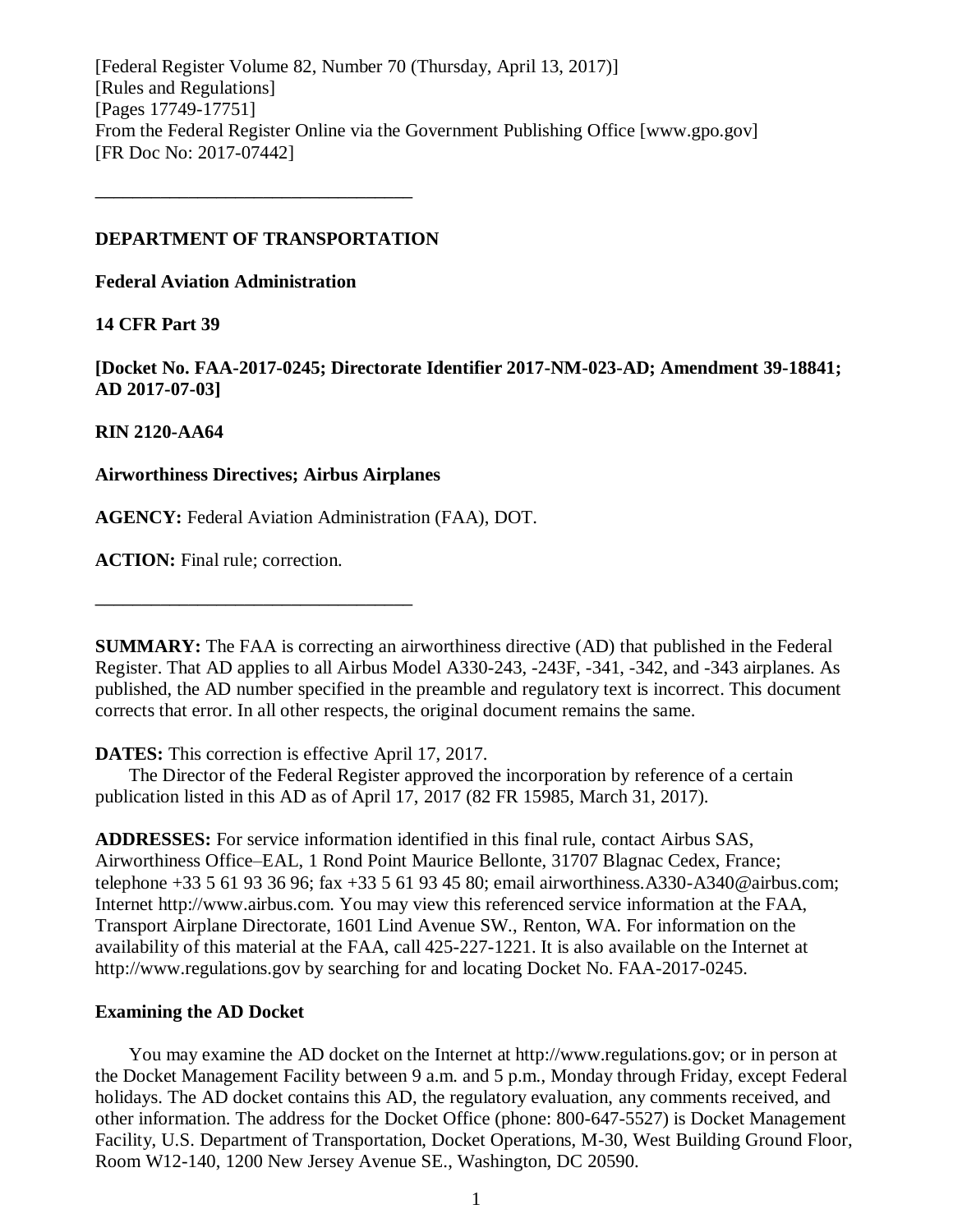[Federal Register Volume 82, Number 70 (Thursday, April 13, 2017)] [Rules and Regulations] [Pages 17749-17751] From the Federal Register Online via the Government Publishing Office [www.gpo.gov] [FR Doc No: 2017-07442]

### **DEPARTMENT OF TRANSPORTATION**

**––––––––––––––––––––––––––––––––––**

**Federal Aviation Administration**

### **14 CFR Part 39**

**[Docket No. FAA-2017-0245; Directorate Identifier 2017-NM-023-AD; Amendment 39-18841; AD 2017-07-03]**

### **RIN 2120-AA64**

### **Airworthiness Directives; Airbus Airplanes**

**––––––––––––––––––––––––––––––––––**

**AGENCY:** Federal Aviation Administration (FAA), DOT.

**ACTION:** Final rule; correction.

**SUMMARY:** The FAA is correcting an airworthiness directive (AD) that published in the Federal Register. That AD applies to all Airbus Model A330-243, -243F, -341, -342, and -343 airplanes. As published, the AD number specified in the preamble and regulatory text is incorrect. This document corrects that error. In all other respects, the original document remains the same.

### **DATES:** This correction is effective April 17, 2017.

The Director of the Federal Register approved the incorporation by reference of a certain publication listed in this AD as of April 17, 2017 (82 FR 15985, March 31, 2017).

**ADDRESSES:** For service information identified in this final rule, contact Airbus SAS, Airworthiness Office–EAL, 1 Rond Point Maurice Bellonte, 31707 Blagnac Cedex, France; telephone +33 5 61 93 36 96; fax +33 5 61 93 45 80; email airworthiness.A330-A340@airbus.com; Internet http://www.airbus.com. You may view this referenced service information at the FAA, Transport Airplane Directorate, 1601 Lind Avenue SW., Renton, WA. For information on the availability of this material at the FAA, call 425-227-1221. It is also available on the Internet at http://www.regulations.gov by searching for and locating Docket No. FAA-2017-0245.

### **Examining the AD Docket**

You may examine the AD docket on the Internet at http://www.regulations.gov; or in person at the Docket Management Facility between 9 a.m. and 5 p.m., Monday through Friday, except Federal holidays. The AD docket contains this AD, the regulatory evaluation, any comments received, and other information. The address for the Docket Office (phone: 800-647-5527) is Docket Management Facility, U.S. Department of Transportation, Docket Operations, M-30, West Building Ground Floor, Room W12-140, 1200 New Jersey Avenue SE., Washington, DC 20590.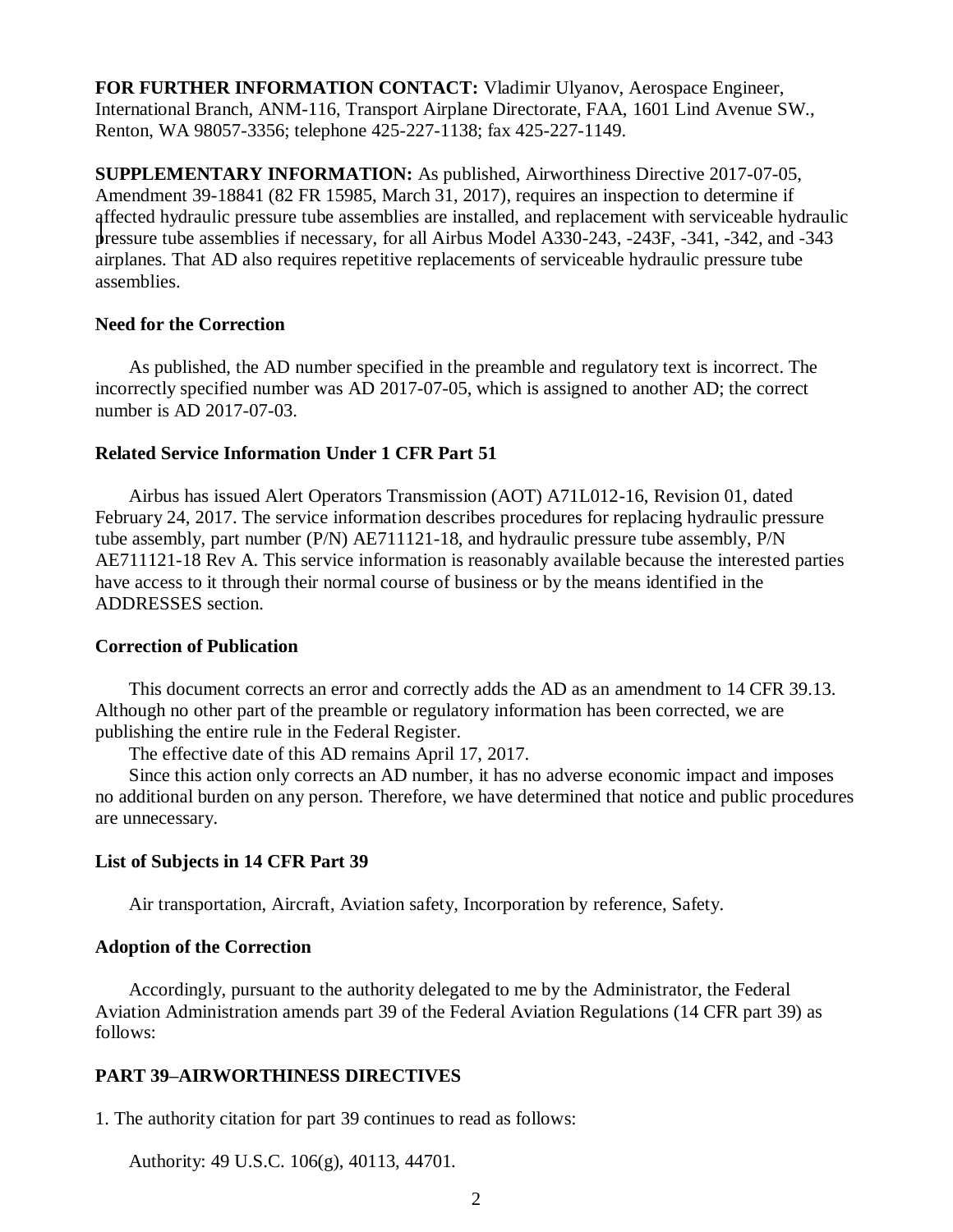**FOR FURTHER INFORMATION CONTACT:** Vladimir Ulyanov, Aerospace Engineer, International Branch, ANM-116, Transport Airplane Directorate, FAA, 1601 Lind Avenue SW., Renton, WA 98057-3356; telephone 425-227-1138; fax 425-227-1149.

**SUPPLEMENTARY INFORMATION:** As published, Airworthiness Directive 2017-07-05, Amendment 39-18841 (82 FR 15985, March 31, 2017), requires an inspection to determine if affected hydraulic pressure tube assemblies are installed, and replacement with serviceable hydraulic pressure tube assemblies if necessary, for all Airbus Model A330-243, -243F, -341, -342, and -343 airplanes. That AD also requires repetitive replacements of serviceable hydraulic pressure tube assemblies.

#### **Need for the Correction**

As published, the AD number specified in the preamble and regulatory text is incorrect. The incorrectly specified number was AD 2017-07-05, which is assigned to another AD; the correct number is AD 2017-07-03.

### **Related Service Information Under 1 CFR Part 51**

Airbus has issued Alert Operators Transmission (AOT) A71L012-16, Revision 01, dated February 24, 2017. The service information describes procedures for replacing hydraulic pressure tube assembly, part number (P/N) AE711121-18, and hydraulic pressure tube assembly, P/N AE711121-18 Rev A. This service information is reasonably available because the interested parties have access to it through their normal course of business or by the means identified in the ADDRESSES section.

#### **Correction of Publication**

This document corrects an error and correctly adds the AD as an amendment to 14 CFR 39.13. Although no other part of the preamble or regulatory information has been corrected, we are publishing the entire rule in the Federal Register.

The effective date of this AD remains April 17, 2017.

Since this action only corrects an AD number, it has no adverse economic impact and imposes no additional burden on any person. Therefore, we have determined that notice and public procedures are unnecessary.

### **List of Subjects in 14 CFR Part 39**

Air transportation, Aircraft, Aviation safety, Incorporation by reference, Safety.

#### **Adoption of the Correction**

Accordingly, pursuant to the authority delegated to me by the Administrator, the Federal Aviation Administration amends part 39 of the Federal Aviation Regulations (14 CFR part 39) as follows:

### **PART 39–AIRWORTHINESS DIRECTIVES**

1. The authority citation for part 39 continues to read as follows:

Authority: 49 U.S.C. 106(g), 40113, 44701.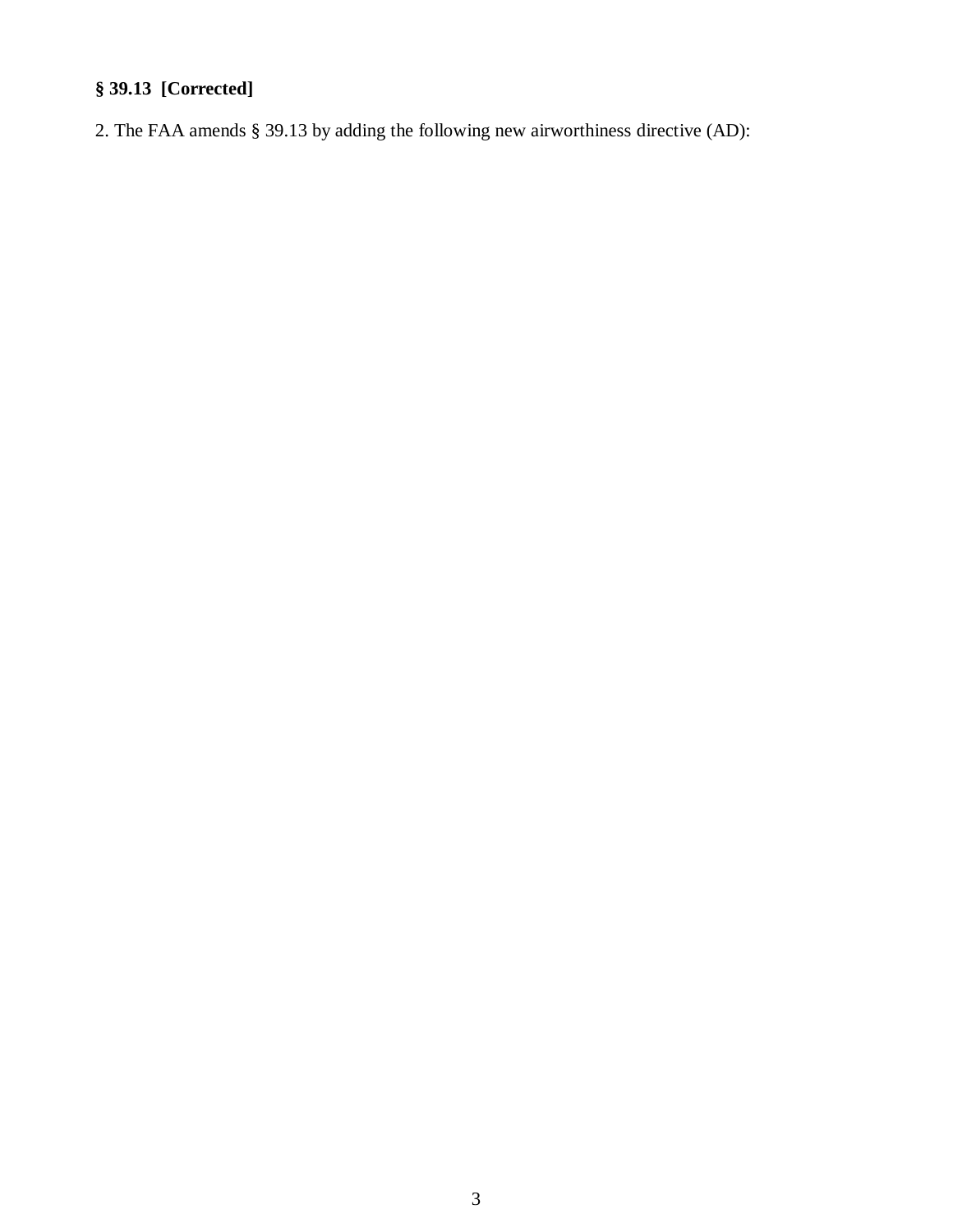# **§ 39.13 [Corrected]**

2. The FAA amends § 39.13 by adding the following new airworthiness directive (AD):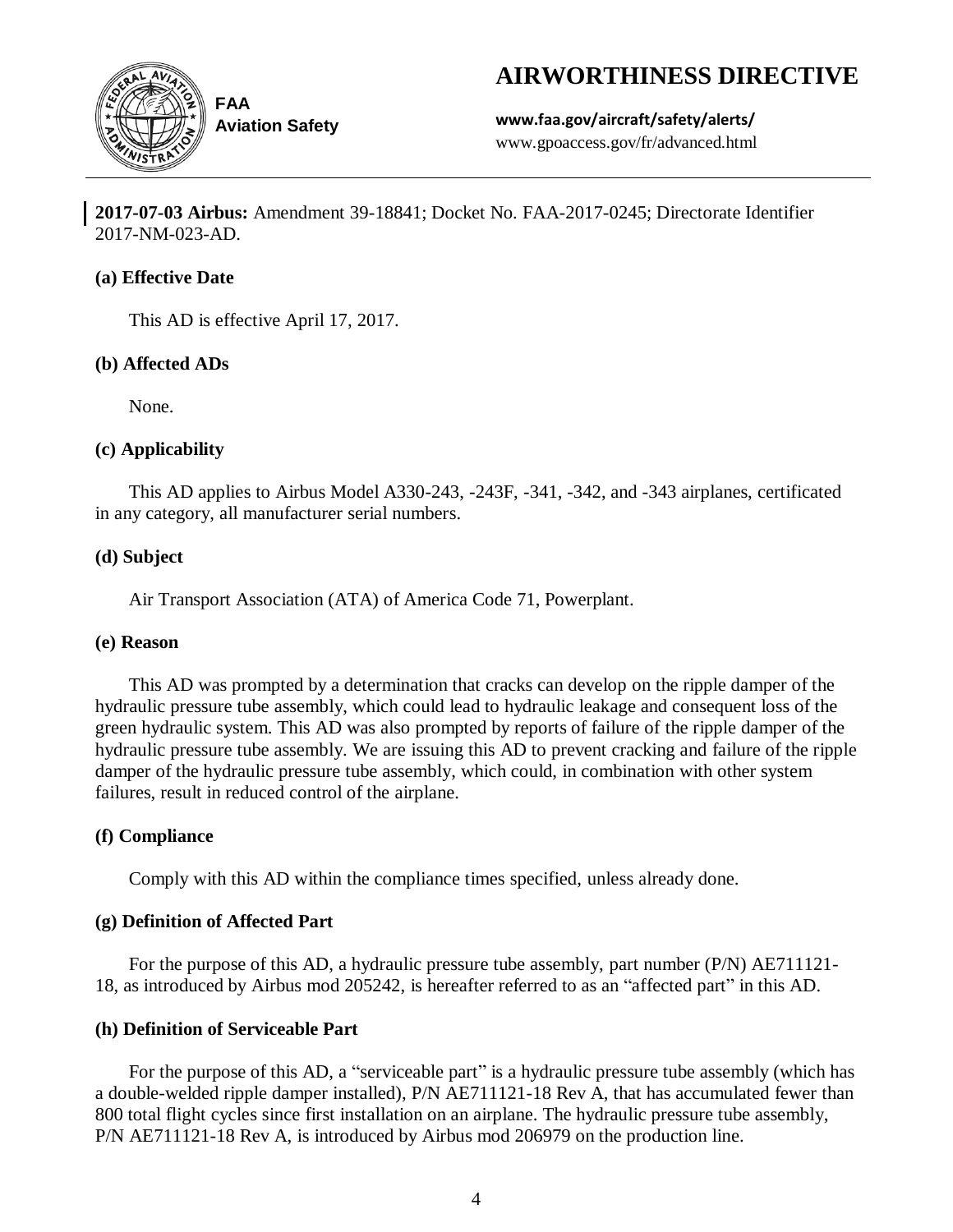# **AIRWORTHINESS DIRECTIVE**



**Aviation Safety**

**www.faa.gov/aircraft/safety/alerts/** www.gpoaccess.gov/fr/advanced.html

**2017-07-03 Airbus:** Amendment 39-18841; Docket No. FAA-2017-0245; Directorate Identifier 2017-NM-023-AD.

### **(a) Effective Date**

This AD is effective April 17, 2017.

# **(b) Affected ADs**

None.

# **(c) Applicability**

This AD applies to Airbus Model A330-243, -243F, -341, -342, and -343 airplanes, certificated in any category, all manufacturer serial numbers.

# **(d) Subject**

Air Transport Association (ATA) of America Code 71, Powerplant.

### **(e) Reason**

This AD was prompted by a determination that cracks can develop on the ripple damper of the hydraulic pressure tube assembly, which could lead to hydraulic leakage and consequent loss of the green hydraulic system. This AD was also prompted by reports of failure of the ripple damper of the hydraulic pressure tube assembly. We are issuing this AD to prevent cracking and failure of the ripple damper of the hydraulic pressure tube assembly, which could, in combination with other system failures, result in reduced control of the airplane.

# **(f) Compliance**

Comply with this AD within the compliance times specified, unless already done.

# **(g) Definition of Affected Part**

For the purpose of this AD, a hydraulic pressure tube assembly, part number (P/N) AE711121-18, as introduced by Airbus mod 205242, is hereafter referred to as an "affected part" in this AD.

# **(h) Definition of Serviceable Part**

For the purpose of this AD, a "serviceable part" is a hydraulic pressure tube assembly (which has a double-welded ripple damper installed), P/N AE711121-18 Rev A, that has accumulated fewer than 800 total flight cycles since first installation on an airplane. The hydraulic pressure tube assembly, P/N AE711121-18 Rev A, is introduced by Airbus mod 206979 on the production line.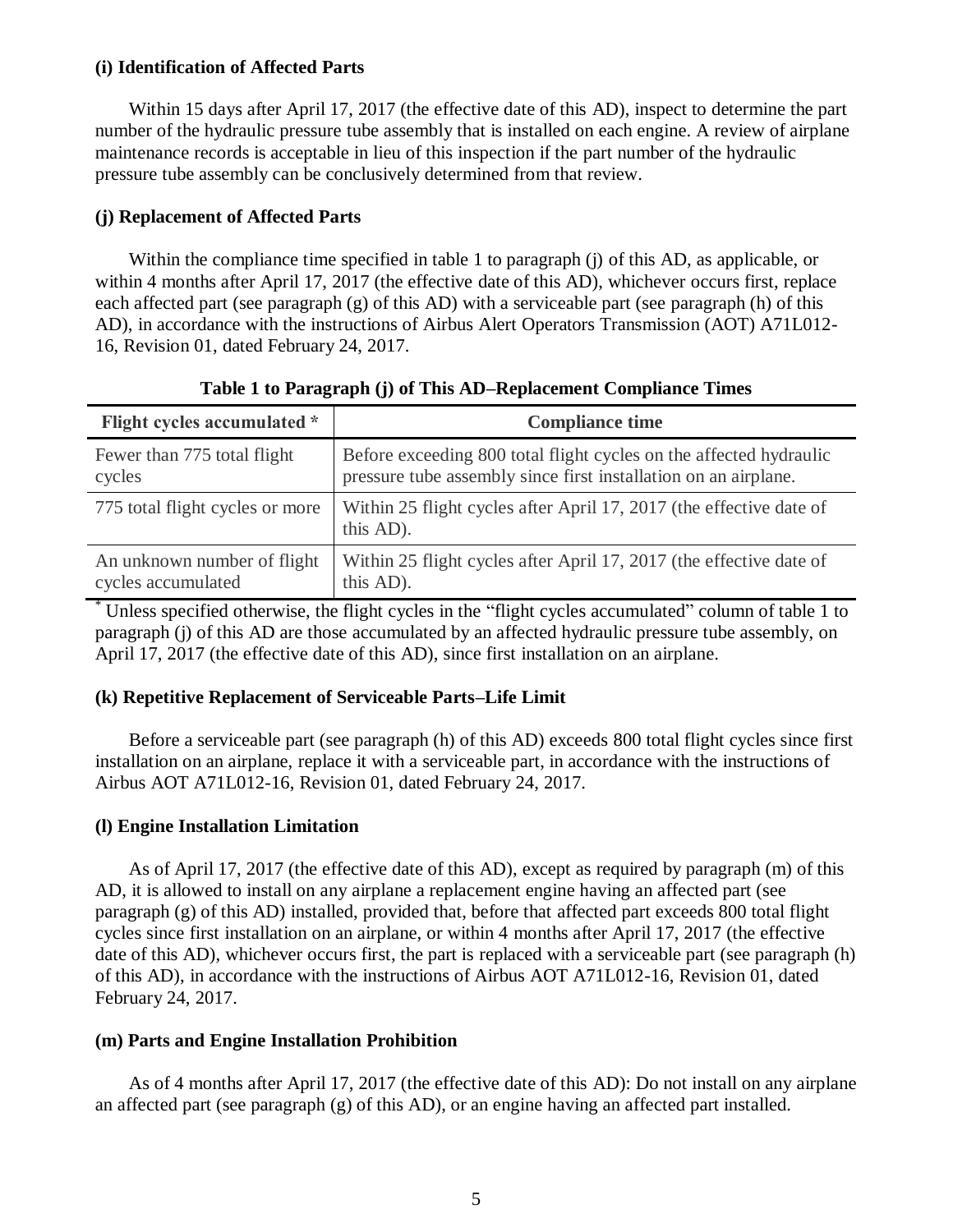### **(i) Identification of Affected Parts**

Within 15 days after April 17, 2017 (the effective date of this AD), inspect to determine the part number of the hydraulic pressure tube assembly that is installed on each engine. A review of airplane maintenance records is acceptable in lieu of this inspection if the part number of the hydraulic pressure tube assembly can be conclusively determined from that review.

### **(j) Replacement of Affected Parts**

Within the compliance time specified in table 1 to paragraph (j) of this AD, as applicable, or within 4 months after April 17, 2017 (the effective date of this AD), whichever occurs first, replace each affected part (see paragraph (g) of this AD) with a serviceable part (see paragraph (h) of this AD), in accordance with the instructions of Airbus Alert Operators Transmission (AOT) A71L012- 16, Revision 01, dated February 24, 2017.

| Flight cycles accumulated *     | <b>Compliance time</b>                                                           |
|---------------------------------|----------------------------------------------------------------------------------|
| Fewer than 775 total flight     | Before exceeding 800 total flight cycles on the affected hydraulic               |
| cycles                          | pressure tube assembly since first installation on an airplane.                  |
| 775 total flight cycles or more | Within 25 flight cycles after April 17, 2017 (the effective date of<br>this AD). |
| An unknown number of flight     | Within 25 flight cycles after April 17, 2017 (the effective date of              |
| cycles accumulated              | this AD).                                                                        |

**Table 1 to Paragraph (j) of This AD–Replacement Compliance Times**

Unless specified otherwise, the flight cycles in the "flight cycles accumulated" column of table 1 to paragraph (j) of this AD are those accumulated by an affected hydraulic pressure tube assembly, on April 17, 2017 (the effective date of this AD), since first installation on an airplane.

### **(k) Repetitive Replacement of Serviceable Parts–Life Limit**

Before a serviceable part (see paragraph (h) of this AD) exceeds 800 total flight cycles since first installation on an airplane, replace it with a serviceable part, in accordance with the instructions of Airbus AOT A71L012-16, Revision 01, dated February 24, 2017.

### **(l) Engine Installation Limitation**

As of April 17, 2017 (the effective date of this AD), except as required by paragraph (m) of this AD, it is allowed to install on any airplane a replacement engine having an affected part (see paragraph (g) of this AD) installed, provided that, before that affected part exceeds 800 total flight cycles since first installation on an airplane, or within 4 months after April 17, 2017 (the effective date of this AD), whichever occurs first, the part is replaced with a serviceable part (see paragraph (h) of this AD), in accordance with the instructions of Airbus AOT A71L012-16, Revision 01, dated February 24, 2017.

### **(m) Parts and Engine Installation Prohibition**

As of 4 months after April 17, 2017 (the effective date of this AD): Do not install on any airplane an affected part (see paragraph (g) of this AD), or an engine having an affected part installed.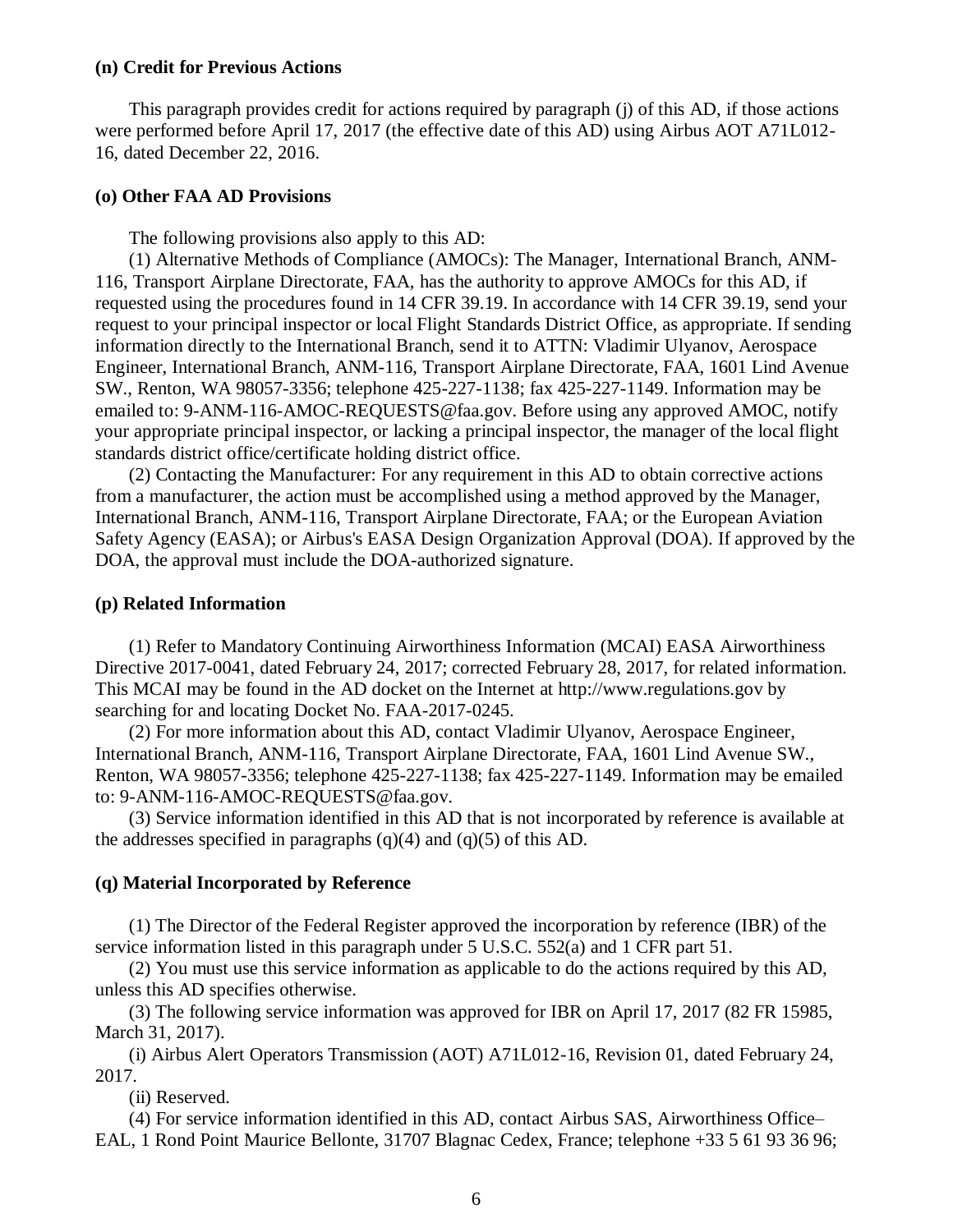### **(n) Credit for Previous Actions**

This paragraph provides credit for actions required by paragraph (j) of this AD, if those actions were performed before April 17, 2017 (the effective date of this AD) using Airbus AOT A71L012- 16, dated December 22, 2016.

### **(o) Other FAA AD Provisions**

The following provisions also apply to this AD:

(1) Alternative Methods of Compliance (AMOCs): The Manager, International Branch, ANM-116, Transport Airplane Directorate, FAA, has the authority to approve AMOCs for this AD, if requested using the procedures found in 14 CFR 39.19. In accordance with 14 CFR 39.19, send your request to your principal inspector or local Flight Standards District Office, as appropriate. If sending information directly to the International Branch, send it to ATTN: Vladimir Ulyanov, Aerospace Engineer, International Branch, ANM-116, Transport Airplane Directorate, FAA, 1601 Lind Avenue SW., Renton, WA 98057-3356; telephone 425-227-1138; fax 425-227-1149. Information may be emailed to: 9-ANM-116-AMOC-REQUESTS@faa.gov. Before using any approved AMOC, notify your appropriate principal inspector, or lacking a principal inspector, the manager of the local flight standards district office/certificate holding district office.

(2) Contacting the Manufacturer: For any requirement in this AD to obtain corrective actions from a manufacturer, the action must be accomplished using a method approved by the Manager, International Branch, ANM-116, Transport Airplane Directorate, FAA; or the European Aviation Safety Agency (EASA); or Airbus's EASA Design Organization Approval (DOA). If approved by the DOA, the approval must include the DOA-authorized signature.

#### **(p) Related Information**

(1) Refer to Mandatory Continuing Airworthiness Information (MCAI) EASA Airworthiness Directive 2017-0041, dated February 24, 2017; corrected February 28, 2017, for related information. This MCAI may be found in the AD docket on the Internet at http://www.regulations.gov by searching for and locating Docket No. FAA-2017-0245.

(2) For more information about this AD, contact Vladimir Ulyanov, Aerospace Engineer, International Branch, ANM-116, Transport Airplane Directorate, FAA, 1601 Lind Avenue SW., Renton, WA 98057-3356; telephone 425-227-1138; fax 425-227-1149. Information may be emailed to: 9-ANM-116-AMOC-REQUESTS@faa.gov.

(3) Service information identified in this AD that is not incorporated by reference is available at the addresses specified in paragraphs  $(q)(4)$  and  $(q)(5)$  of this AD.

#### **(q) Material Incorporated by Reference**

(1) The Director of the Federal Register approved the incorporation by reference (IBR) of the service information listed in this paragraph under 5 U.S.C. 552(a) and 1 CFR part 51.

(2) You must use this service information as applicable to do the actions required by this AD, unless this AD specifies otherwise.

(3) The following service information was approved for IBR on April 17, 2017 (82 FR 15985, March 31, 2017).

(i) Airbus Alert Operators Transmission (AOT) A71L012-16, Revision 01, dated February 24, 2017.

(ii) Reserved.

(4) For service information identified in this AD, contact Airbus SAS, Airworthiness Office–

EAL, 1 Rond Point Maurice Bellonte, 31707 Blagnac Cedex, France; telephone +33 5 61 93 36 96;